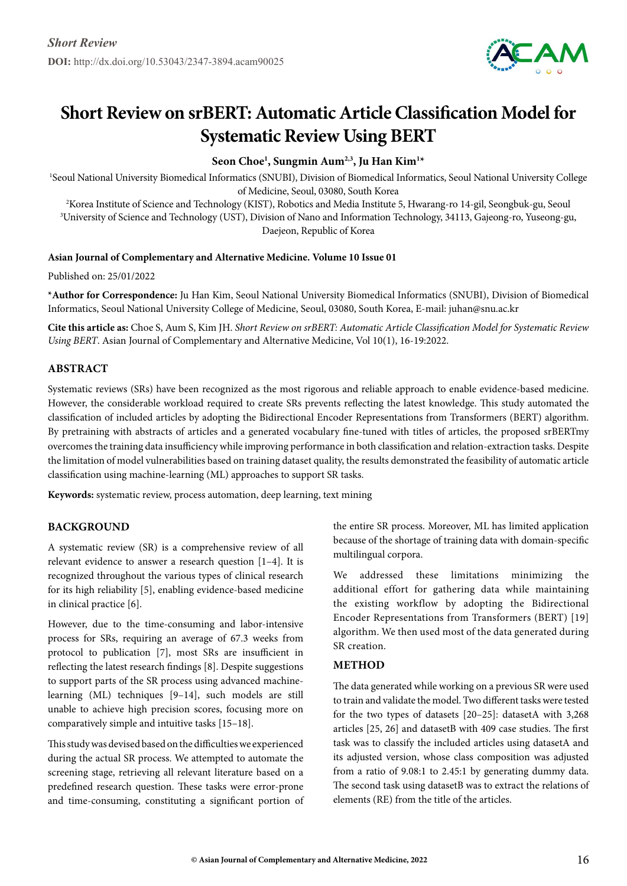

# **Short Review on srBERT: Automatic Article Classification Model for Systematic Review Using BERT**

**Seon Choe1 , Sungmin Aum2,3, Ju Han Kim1 \***

1 Seoul National University Biomedical Informatics (SNUBI), Division of Biomedical Informatics, Seoul National University College

of Medicine, Seoul, 03080, South Korea<br>Korea Institute of Science and Technology (KIST), Robotics and Media Institute 5, Hwarang-ro 14-gil, Seongbuk-gu, Seoul" 3 University of Science and Technology (UST), Division of Nano and Information Technology, 34113, Gajeong-ro, Yuseong-gu, Daejeon, Republic of Korea

## **Asian Journal of Complementary and Alternative Medicine. Volume 10 Issue 01**

Published on: 25/01/2022

**\*Author for Correspondence:** Ju Han Kim, Seoul National University Biomedical Informatics (SNUBI), Division of Biomedical Informatics, Seoul National University College of Medicine, Seoul, 03080, South Korea, E-mail: juhan@snu.ac.kr

**Cite this article as:** Choe S, Aum S, Kim JH. *Short Review on srBERT: Automatic Article Classification Model for Systematic Review Using BERT*. Asian Journal of Complementary and Alternative Medicine, Vol 10(1), 16-19:2022.

# **Abstract**

Systematic reviews (SRs) have been recognized as the most rigorous and reliable approach to enable evidence-based medicine. However, the considerable workload required to create SRs prevents reflecting the latest knowledge. This study automated the classification of included articles by adopting the Bidirectional Encoder Representations from Transformers (BERT) algorithm. By pretraining with abstracts of articles and a generated vocabulary fine-tuned with titles of articles, the proposed srBERTmy overcomes the training data insufficiency while improving performance in both classification and relation-extraction tasks. Despite the limitation of model vulnerabilities based on training dataset quality, the results demonstrated the feasibility of automatic article classification using machine-learning (ML) approaches to support SR tasks.

**Keywords:** systematic review, process automation, deep learning, text mining

# **BACKGROUND**

A systematic review (SR) is a comprehensive review of all relevant evidence to answer a research question [1–4]. It is recognized throughout the various types of clinical research for its high reliability [5], enabling evidence-based medicine in clinical practice [6].

However, due to the time-consuming and labor-intensive process for SRs, requiring an average of 67.3 weeks from protocol to publication [7], most SRs are insufficient in reflecting the latest research findings [8]. Despite suggestions to support parts of the SR process using advanced machinelearning (ML) techniques [9–14], such models are still unable to achieve high precision scores, focusing more on comparatively simple and intuitive tasks [15–18].

This study was devised based on the difficulties we experienced during the actual SR process. We attempted to automate the screening stage, retrieving all relevant literature based on a predefined research question. These tasks were error-prone and time-consuming, constituting a significant portion of the entire SR process. Moreover, ML has limited application because of the shortage of training data with domain-specific multilingual corpora.

We addressed these limitations minimizing the additional effort for gathering data while maintaining the existing workflow by adopting the Bidirectional Encoder Representations from Transformers (BERT) [19] algorithm. We then used most of the data generated during SR creation.

#### **Method**

The data generated while working on a previous SR were used to train and validate the model. Two different tasks were tested for the two types of datasets [20–25]: datasetA with 3,268 articles [25, 26] and datasetB with 409 case studies. The first task was to classify the included articles using datasetA and its adjusted version, whose class composition was adjusted from a ratio of 9.08:1 to 2.45:1 by generating dummy data. The second task using datasetB was to extract the relations of elements (RE) from the title of the articles.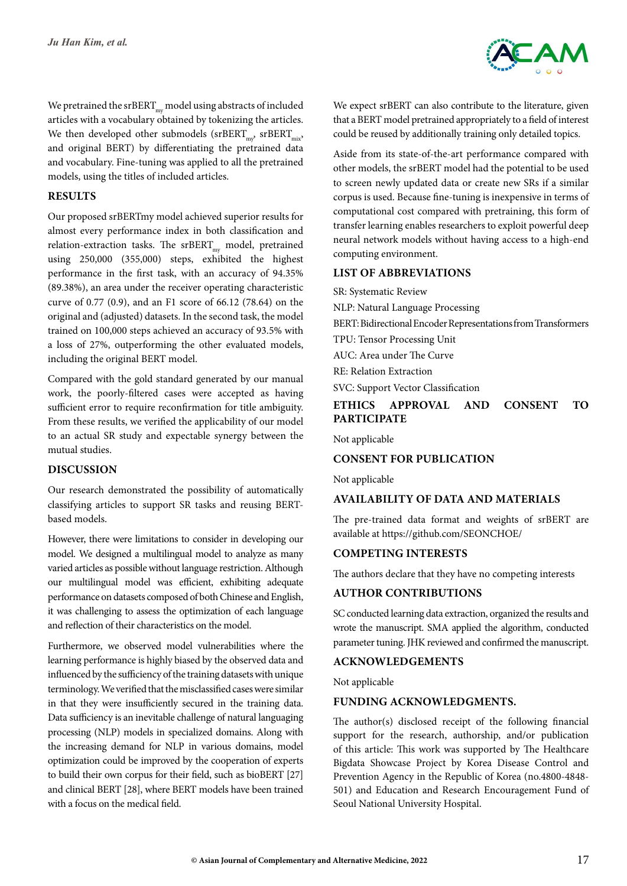

We pretrained the srBERT $_{\rm mv}$  model using abstracts of included articles with a vocabulary obtained by tokenizing the articles. We then developed other submodels ( $\text{srBERT}_{\text{mix}}$ ,  $\text{srBERT}_{\text{mix}}$ , and original BERT) by differentiating the pretrained data and vocabulary. Fine-tuning was applied to all the pretrained models, using the titles of included articles.

# **Results**

Our proposed srBERTmy model achieved superior results for almost every performance index in both classification and relation-extraction tasks. The  $srBERT_{mv}$  model, pretrained using 250,000 (355,000) steps, exhibited the highest performance in the first task, with an accuracy of 94.35% (89.38%), an area under the receiver operating characteristic curve of 0.77 (0.9), and an F1 score of 66.12 (78.64) on the original and (adjusted) datasets. In the second task, the model trained on 100,000 steps achieved an accuracy of 93.5% with a loss of 27%, outperforming the other evaluated models, including the original BERT model.

Compared with the gold standard generated by our manual work, the poorly-filtered cases were accepted as having sufficient error to require reconfirmation for title ambiguity. From these results, we verified the applicability of our model to an actual SR study and expectable synergy between the mutual studies.

# **Discussion**

Our research demonstrated the possibility of automatically classifying articles to support SR tasks and reusing BERTbased models.

However, there were limitations to consider in developing our model. We designed a multilingual model to analyze as many varied articles as possible without language restriction. Although our multilingual model was efficient, exhibiting adequate performance on datasets composed of both Chinese and English, it was challenging to assess the optimization of each language and reflection of their characteristics on the model.

Furthermore, we observed model vulnerabilities where the learning performance is highly biased by the observed data and influenced by the sufficiency of the training datasets with unique terminology. We verified that the misclassified cases were similar in that they were insufficiently secured in the training data. Data sufficiency is an inevitable challenge of natural languaging processing (NLP) models in specialized domains. Along with the increasing demand for NLP in various domains, model optimization could be improved by the cooperation of experts to build their own corpus for their field, such as bioBERT [27] and clinical BERT [28], where BERT models have been trained with a focus on the medical field.

We expect srBERT can also contribute to the literature, given that a BERT model pretrained appropriately to a field of interest could be reused by additionally training only detailed topics.

Aside from its state-of-the-art performance compared with other models, the srBERT model had the potential to be used to screen newly updated data or create new SRs if a similar corpus is used. Because fine-tuning is inexpensive in terms of computational cost compared with pretraining, this form of transfer learning enables researchers to exploit powerful deep neural network models without having access to a high-end computing environment.

# **List of Abbreviations**

SR: Systematic Review

NLP: Natural Language Processing

BERT: Bidirectional Encoder Representations from Transformers

TPU: Tensor Processing Unit

AUC: Area under The Curve

RE: Relation Extraction

SVC: Support Vector Classification

# **Ethics approval and consent to participate**

Not applicable

# **Consent for publication**

Not applicable

# **Availability of data and materials**

The pre-trained data format and weights of srBERT are available at <https://github.com/SEONCHOE/>

# **Competing interests**

The authors declare that they have no competing interests

# **Author contributions**

SC conducted learning data extraction, organized the results and wrote the manuscript. SMA applied the algorithm, conducted parameter tuning. JHK reviewed and confirmed the manuscript.

#### **Acknowledgements**

Not applicable

#### **Funding Acknowledgments.**

The author(s) disclosed receipt of the following financial support for the research, authorship, and/or publication of this article: This work was supported by The Healthcare Bigdata Showcase Project by Korea Disease Control and Prevention Agency in the Republic of Korea (no.4800-4848- 501) and Education and Research Encouragement Fund of Seoul National University Hospital.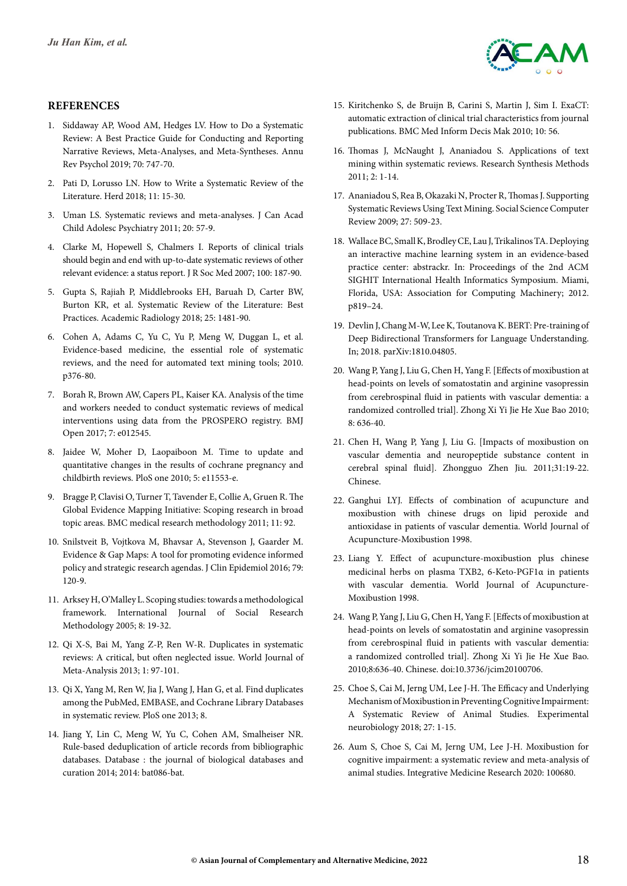

## **References**

- 1. Siddaway AP, Wood AM, Hedges LV. How to Do a Systematic Review: A Best Practice Guide for Conducting and Reporting Narrative Reviews, Meta-Analyses, and Meta-Syntheses. Annu Rev Psychol 2019; 70: 747-70.
- 2. Pati D, Lorusso LN. How to Write a Systematic Review of the Literature. Herd 2018; 11: 15-30.
- 3. Uman LS. Systematic reviews and meta-analyses. J Can Acad Child Adolesc Psychiatry 2011; 20: 57-9.
- 4. Clarke M, Hopewell S, Chalmers I. Reports of clinical trials should begin and end with up-to-date systematic reviews of other relevant evidence: a status report. J R Soc Med 2007; 100: 187-90.
- 5. Gupta S, Rajiah P, Middlebrooks EH, Baruah D, Carter BW, Burton KR, et al. Systematic Review of the Literature: Best Practices. Academic Radiology 2018; 25: 1481-90.
- 6. Cohen A, Adams C, Yu C, Yu P, Meng W, Duggan L, et al. Evidence-based medicine, the essential role of systematic reviews, and the need for automated text mining tools; 2010. p376-80.
- 7. Borah R, Brown AW, Capers PL, Kaiser KA. Analysis of the time and workers needed to conduct systematic reviews of medical interventions using data from the PROSPERO registry. BMJ Open 2017; 7: e012545.
- 8. Jaidee W, Moher D, Laopaiboon M. Time to update and quantitative changes in the results of cochrane pregnancy and childbirth reviews. PloS one 2010; 5: e11553-e.
- 9. Bragge P, Clavisi O, Turner T, Tavender E, Collie A, Gruen R. The Global Evidence Mapping Initiative: Scoping research in broad topic areas. BMC medical research methodology 2011; 11: 92.
- 10. Snilstveit B, Vojtkova M, Bhavsar A, Stevenson J, Gaarder M. Evidence & Gap Maps: A tool for promoting evidence informed policy and strategic research agendas. J Clin Epidemiol 2016; 79: 120-9.
- 11. Arksey H, O'Malley L. Scoping studies: towards a methodological framework. International Journal of Social Research Methodology 2005; 8: 19-32.
- 12. Qi X-S, Bai M, Yang Z-P, Ren W-R. Duplicates in systematic reviews: A critical, but often neglected issue. World Journal of Meta-Analysis 2013; 1: 97-101.
- 13. Qi X, Yang M, Ren W, Jia J, Wang J, Han G, et al. Find duplicates among the PubMed, EMBASE, and Cochrane Library Databases in systematic review. PloS one 2013; 8.
- 14. Jiang Y, Lin C, Meng W, Yu C, Cohen AM, Smalheiser NR. Rule-based deduplication of article records from bibliographic databases. Database : the journal of biological databases and curation 2014; 2014: bat086-bat.
- 15. Kiritchenko S, de Bruijn B, Carini S, Martin J, Sim I. ExaCT: automatic extraction of clinical trial characteristics from journal publications. BMC Med Inform Decis Mak 2010; 10: 56.
- 16. Thomas J, McNaught J, Ananiadou S. Applications of text mining within systematic reviews. Research Synthesis Methods 2011; 2: 1-14.
- 17. Ananiadou S, Rea B, Okazaki N, Procter R, Thomas J. Supporting Systematic Reviews Using Text Mining. Social Science Computer Review 2009; 27: 509-23.
- 18. Wallace BC, Small K, Brodley CE, Lau J, Trikalinos TA. Deploying an interactive machine learning system in an evidence-based practice center: abstrackr. In: Proceedings of the 2nd ACM SIGHIT International Health Informatics Symposium. Miami, Florida, USA: Association for Computing Machinery; 2012. p819–24.
- 19. Devlin J, Chang M-W, Lee K, Toutanova K. BERT: Pre-training of Deep Bidirectional Transformers for Language Understanding. In; 2018. parXiv:1810.04805.
- 20. Wang P, Yang J, Liu G, Chen H, Yang F. [Effects of moxibustion at head-points on levels of somatostatin and arginine vasopressin from cerebrospinal fluid in patients with vascular dementia: a randomized controlled trial]. Zhong Xi Yi Jie He Xue Bao 2010; 8: 636-40.
- 21. Chen H, Wang P, Yang J, Liu G. [Impacts of moxibustion on vascular dementia and neuropeptide substance content in cerebral spinal fluid]. Zhongguo Zhen Jiu. 2011;31:19-22. Chinese.
- 22. Ganghui LYJ. Effects of combination of acupuncture and moxibustion with chinese drugs on lipid peroxide and antioxidase in patients of vascular dementia. World Journal of Acupuncture-Moxibustion 1998.
- 23. Liang Y. Effect of acupuncture-moxibustion plus chinese medicinal herbs on plasma TXB2, 6-Keto-PGF1α in patients with vascular dementia. World Journal of Acupuncture-Moxibustion 1998.
- 24. Wang P, Yang J, Liu G, Chen H, Yang F. [Effects of moxibustion at head-points on levels of somatostatin and arginine vasopressin from cerebrospinal fluid in patients with vascular dementia: a randomized controlled trial]. Zhong Xi Yi Jie He Xue Bao. 2010;8:636-40. Chinese. doi:10.3736/jcim20100706.
- 25. Choe S, Cai M, Jerng UM, Lee J-H. The Efficacy and Underlying Mechanism of Moxibustion in Preventing Cognitive Impairment: A Systematic Review of Animal Studies. Experimental neurobiology 2018; 27: 1-15.
- 26. Aum S, Choe S, Cai M, Jerng UM, Lee J-H. Moxibustion for cognitive impairment: a systematic review and meta-analysis of animal studies. Integrative Medicine Research 2020: 100680.